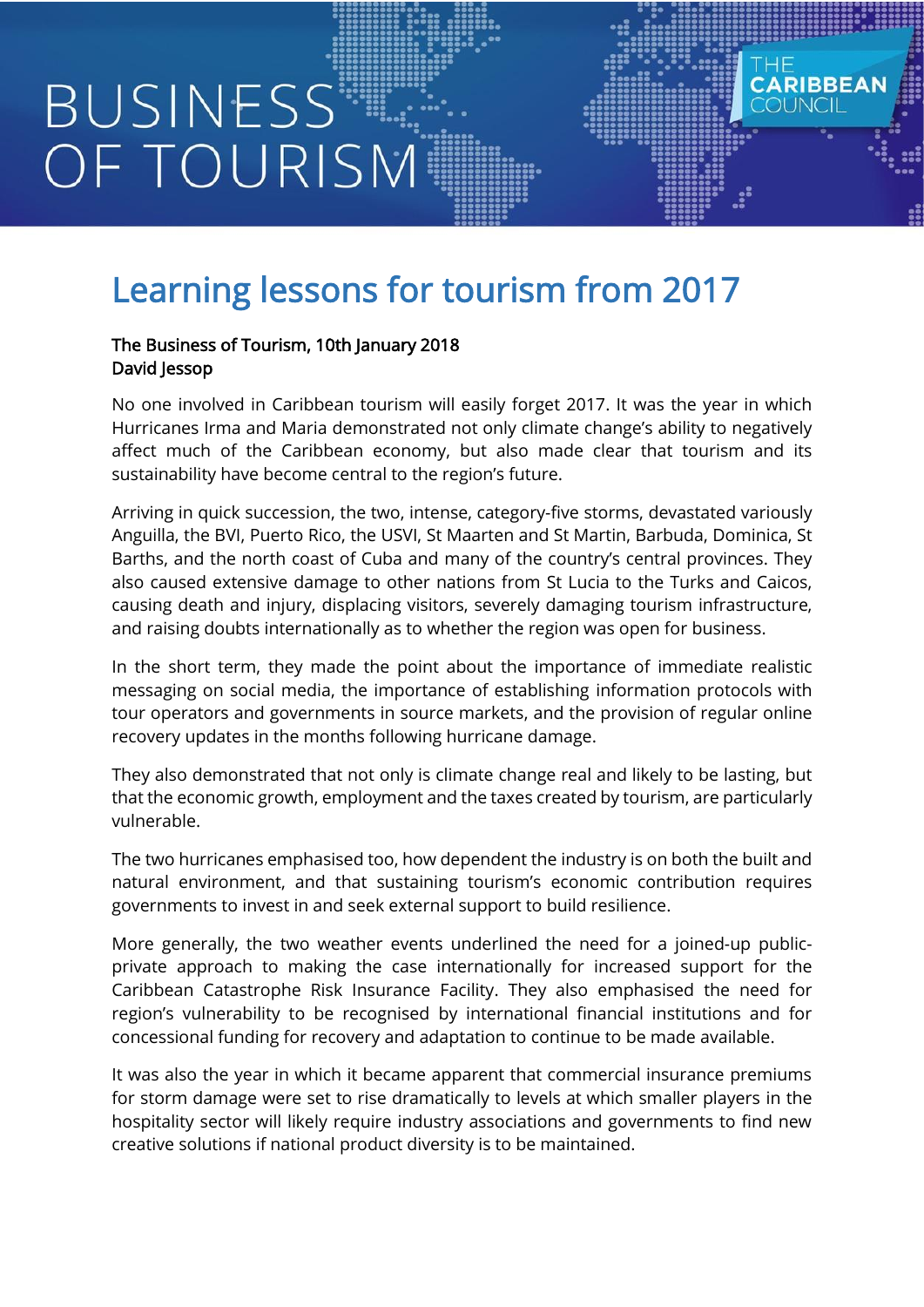## **BUSINESS** OF TOURISM

## Learning lessons for tourism from 2017

## The Business of Tourism, 10th January 2018 David Jessop

No one involved in Caribbean tourism will easily forget 2017. It was the year in which Hurricanes Irma and Maria demonstrated not only climate change's ability to negatively affect much of the Caribbean economy, but also made clear that tourism and its sustainability have become central to the region's future.

**CARIBBEA** 

OUNCIL

Arriving in quick succession, the two, intense, category-five storms, devastated variously Anguilla, the BVI, Puerto Rico, the USVI, St Maarten and St Martin, Barbuda, Dominica, St Barths, and the north coast of Cuba and many of the country's central provinces. They also caused extensive damage to other nations from St Lucia to the Turks and Caicos, causing death and injury, displacing visitors, severely damaging tourism infrastructure, and raising doubts internationally as to whether the region was open for business.

In the short term, they made the point about the importance of immediate realistic messaging on social media, the importance of establishing information protocols with tour operators and governments in source markets, and the provision of regular online recovery updates in the months following hurricane damage.

They also demonstrated that not only is climate change real and likely to be lasting, but that the economic growth, employment and the taxes created by tourism, are particularly vulnerable.

The two hurricanes emphasised too, how dependent the industry is on both the built and natural environment, and that sustaining tourism's economic contribution requires governments to invest in and seek external support to build resilience.

More generally, the two weather events underlined the need for a joined-up publicprivate approach to making the case internationally for increased support for the Caribbean Catastrophe Risk Insurance Facility. They also emphasised the need for region's vulnerability to be recognised by international financial institutions and for concessional funding for recovery and adaptation to continue to be made available.

It was also the year in which it became apparent that commercial insurance premiums for storm damage were set to rise dramatically to levels at which smaller players in the hospitality sector will likely require industry associations and governments to find new creative solutions if national product diversity is to be maintained.